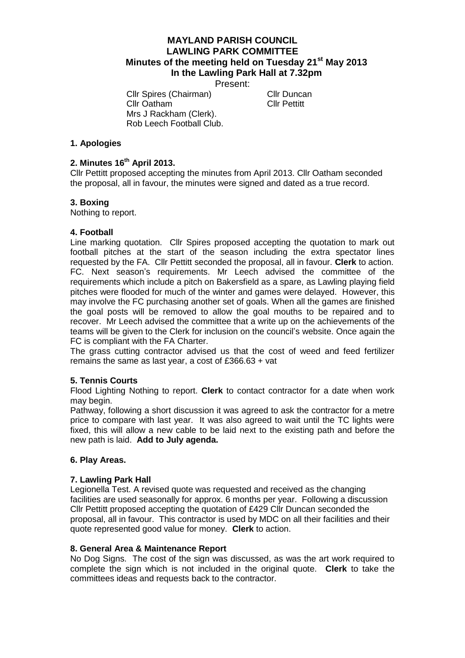# **MAYLAND PARISH COUNCIL LAWLING PARK COMMITTEE Minutes of the meeting held on Tuesday 21st May 2013 In the Lawling Park Hall at 7.32pm**

Present:

Cllr Spires (Chairman) Cllr Duncan Cllr Oatham Cllr Pettitt Mrs J Rackham (Clerk). Rob Leech Football Club.

### **1. Apologies**

### **2. Minutes 16 th April 2013.**

Cllr Pettitt proposed accepting the minutes from April 2013. Cllr Oatham seconded the proposal, all in favour, the minutes were signed and dated as a true record.

## **3. Boxing**

Nothing to report.

### **4. Football**

Line marking quotation. Cllr Spires proposed accepting the quotation to mark out football pitches at the start of the season including the extra spectator lines requested by the FA. Cllr Pettitt seconded the proposal, all in favour. **Clerk** to action. FC. Next season's requirements. Mr Leech advised the committee of the requirements which include a pitch on Bakersfield as a spare, as Lawling playing field pitches were flooded for much of the winter and games were delayed. However, this may involve the FC purchasing another set of goals. When all the games are finished the goal posts will be removed to allow the goal mouths to be repaired and to recover. Mr Leech advised the committee that a write up on the achievements of the teams will be given to the Clerk for inclusion on the council's website. Once again the FC is compliant with the FA Charter.

The grass cutting contractor advised us that the cost of weed and feed fertilizer remains the same as last year, a cost of £366.63 + vat

### **5. Tennis Courts**

Flood Lighting Nothing to report. **Clerk** to contact contractor for a date when work may begin.

Pathway, following a short discussion it was agreed to ask the contractor for a metre price to compare with last year. It was also agreed to wait until the TC lights were fixed, this will allow a new cable to be laid next to the existing path and before the new path is laid. **Add to July agenda.**

### **6. Play Areas.**

### **7. Lawling Park Hall**

Legionella Test. A revised quote was requested and received as the changing facilities are used seasonally for approx. 6 months per year. Following a discussion Cllr Pettitt proposed accepting the quotation of £429 Cllr Duncan seconded the proposal, all in favour. This contractor is used by MDC on all their facilities and their quote represented good value for money. **Clerk** to action.

### **8. General Area & Maintenance Report**

No Dog Signs. The cost of the sign was discussed, as was the art work required to complete the sign which is not included in the original quote. **Clerk** to take the committees ideas and requests back to the contractor.